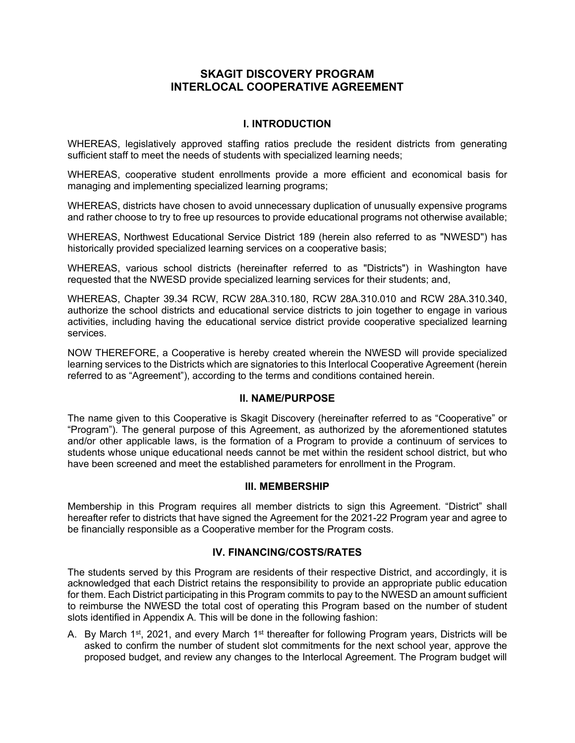# **SKAGIT DISCOVERY PROGRAM INTERLOCAL COOPERATIVE AGREEMENT**

## **I. INTRODUCTION**

WHEREAS, legislatively approved staffing ratios preclude the resident districts from generating sufficient staff to meet the needs of students with specialized learning needs;

WHEREAS, cooperative student enrollments provide a more efficient and economical basis for managing and implementing specialized learning programs;

WHEREAS, districts have chosen to avoid unnecessary duplication of unusually expensive programs and rather choose to try to free up resources to provide educational programs not otherwise available;

WHEREAS, Northwest Educational Service District 189 (herein also referred to as "NWESD") has historically provided specialized learning services on a cooperative basis;

WHEREAS, various school districts (hereinafter referred to as "Districts") in Washington have requested that the NWESD provide specialized learning services for their students; and,

WHEREAS, Chapter 39.34 RCW, RCW 28A.310.180, RCW 28A.310.010 and RCW 28A.310.340, authorize the school districts and educational service districts to join together to engage in various activities, including having the educational service district provide cooperative specialized learning services.

NOW THEREFORE, a Cooperative is hereby created wherein the NWESD will provide specialized learning services to the Districts which are signatories to this Interlocal Cooperative Agreement (herein referred to as "Agreement"), according to the terms and conditions contained herein.

#### **II. NAME/PURPOSE**

The name given to this Cooperative is Skagit Discovery (hereinafter referred to as "Cooperative" or "Program"). The general purpose of this Agreement, as authorized by the aforementioned statutes and/or other applicable laws, is the formation of a Program to provide a continuum of services to students whose unique educational needs cannot be met within the resident school district, but who have been screened and meet the established parameters for enrollment in the Program.

#### **III. MEMBERSHIP**

Membership in this Program requires all member districts to sign this Agreement. "District" shall hereafter refer to districts that have signed the Agreement for the 2021-22 Program year and agree to be financially responsible as a Cooperative member for the Program costs.

### **IV. FINANCING/COSTS/RATES**

The students served by this Program are residents of their respective District, and accordingly, it is acknowledged that each District retains the responsibility to provide an appropriate public education for them. Each District participating in this Program commits to pay to the NWESD an amount sufficient to reimburse the NWESD the total cost of operating this Program based on the number of student slots identified in Appendix A. This will be done in the following fashion:

A. By March 1<sup>st</sup>, 2021, and every March 1<sup>st</sup> thereafter for following Program years, Districts will be asked to confirm the number of student slot commitments for the next school year, approve the proposed budget, and review any changes to the Interlocal Agreement. The Program budget will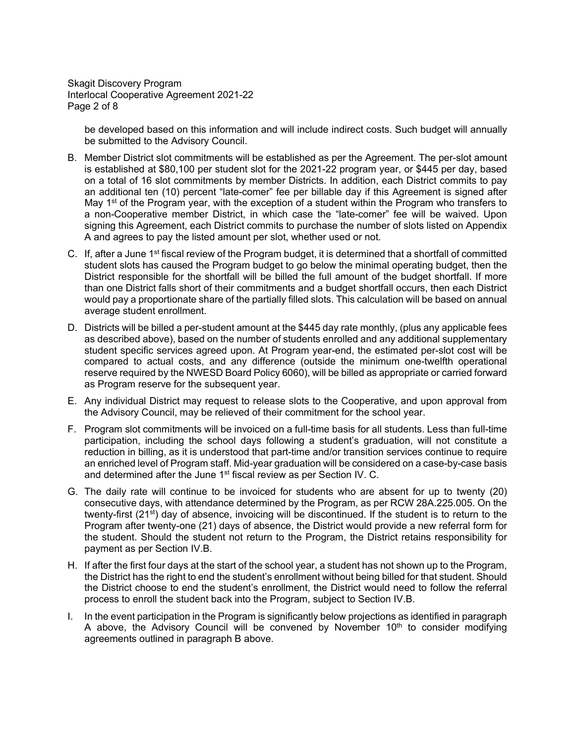Skagit Discovery Program Interlocal Cooperative Agreement 2021-22 Page 2 of 8

be developed based on this information and will include indirect costs. Such budget will annually be submitted to the Advisory Council.

- B. Member District slot commitments will be established as per the Agreement. The per-slot amount is established at \$80,100 per student slot for the 2021-22 program year, or \$445 per day, based on a total of 16 slot commitments by member Districts. In addition, each District commits to pay an additional ten (10) percent "late-comer" fee per billable day if this Agreement is signed after May 1<sup>st</sup> of the Program year, with the exception of a student within the Program who transfers to a non-Cooperative member District, in which case the "late-comer" fee will be waived. Upon signing this Agreement, each District commits to purchase the number of slots listed on Appendix A and agrees to pay the listed amount per slot, whether used or not.
- C. If, after a June 1<sup>st</sup> fiscal review of the Program budget, it is determined that a shortfall of committed student slots has caused the Program budget to go below the minimal operating budget, then the District responsible for the shortfall will be billed the full amount of the budget shortfall. If more than one District falls short of their commitments and a budget shortfall occurs, then each District would pay a proportionate share of the partially filled slots. This calculation will be based on annual average student enrollment.
- D. Districts will be billed a per-student amount at the \$445 day rate monthly, (plus any applicable fees as described above), based on the number of students enrolled and any additional supplementary student specific services agreed upon. At Program year-end, the estimated per-slot cost will be compared to actual costs, and any difference (outside the minimum one-twelfth operational reserve required by the NWESD Board Policy 6060), will be billed as appropriate or carried forward as Program reserve for the subsequent year.
- E. Any individual District may request to release slots to the Cooperative, and upon approval from the Advisory Council, may be relieved of their commitment for the school year.
- F. Program slot commitments will be invoiced on a full-time basis for all students. Less than full-time participation, including the school days following a student's graduation, will not constitute a reduction in billing, as it is understood that part-time and/or transition services continue to require an enriched level of Program staff. Mid-year graduation will be considered on a case-by-case basis and determined after the June 1<sup>st</sup> fiscal review as per Section IV. C.
- G. The daily rate will continue to be invoiced for students who are absent for up to twenty (20) consecutive days, with attendance determined by the Program, as per RCW 28A.225.005. On the twenty-first (21<sup>st</sup>) day of absence, invoicing will be discontinued. If the student is to return to the Program after twenty-one (21) days of absence, the District would provide a new referral form for the student. Should the student not return to the Program, the District retains responsibility for payment as per Section IV.B.
- H. If after the first four days at the start of the school year, a student has not shown up to the Program, the District has the right to end the student's enrollment without being billed for that student. Should the District choose to end the student's enrollment, the District would need to follow the referral process to enroll the student back into the Program, subject to Section IV.B.
- I. In the event participation in the Program is significantly below projections as identified in paragraph A above, the Advisory Council will be convened by November  $10<sup>th</sup>$  to consider modifying agreements outlined in paragraph B above.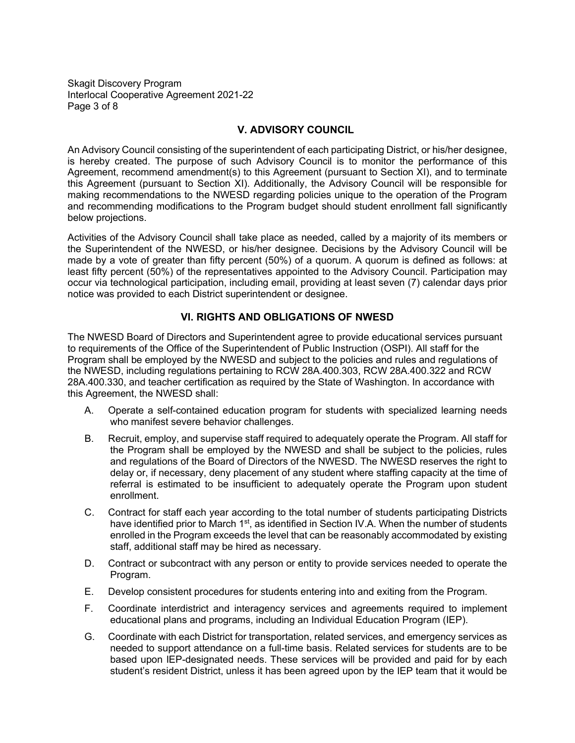Skagit Discovery Program Interlocal Cooperative Agreement 2021-22 Page 3 of 8

#### **V. ADVISORY COUNCIL**

An Advisory Council consisting of the superintendent of each participating District, or his/her designee, is hereby created. The purpose of such Advisory Council is to monitor the performance of this Agreement, recommend amendment(s) to this Agreement (pursuant to Section XI), and to terminate this Agreement (pursuant to Section XI). Additionally, the Advisory Council will be responsible for making recommendations to the NWESD regarding policies unique to the operation of the Program and recommending modifications to the Program budget should student enrollment fall significantly below projections.

Activities of the Advisory Council shall take place as needed, called by a majority of its members or the Superintendent of the NWESD, or his/her designee. Decisions by the Advisory Council will be made by a vote of greater than fifty percent (50%) of a quorum. A quorum is defined as follows: at least fifty percent (50%) of the representatives appointed to the Advisory Council. Participation may occur via technological participation, including email, providing at least seven (7) calendar days prior notice was provided to each District superintendent or designee.

# **VI. RIGHTS AND OBLIGATIONS OF NWESD**

The NWESD Board of Directors and Superintendent agree to provide educational services pursuant to requirements of the Office of the Superintendent of Public Instruction (OSPI). All staff for the Program shall be employed by the NWESD and subject to the policies and rules and regulations of the NWESD, including regulations pertaining to RCW 28A.400.303, RCW 28A.400.322 and RCW 28A.400.330, and teacher certification as required by the State of Washington. In accordance with this Agreement, the NWESD shall:

- A. Operate a self-contained education program for students with specialized learning needs who manifest severe behavior challenges.
- B. Recruit, employ, and supervise staff required to adequately operate the Program. All staff for the Program shall be employed by the NWESD and shall be subject to the policies, rules and regulations of the Board of Directors of the NWESD. The NWESD reserves the right to delay or, if necessary, deny placement of any student where staffing capacity at the time of referral is estimated to be insufficient to adequately operate the Program upon student enrollment.
- C. Contract for staff each year according to the total number of students participating Districts have identified prior to March 1<sup>st</sup>, as identified in Section IV.A. When the number of students enrolled in the Program exceeds the level that can be reasonably accommodated by existing staff, additional staff may be hired as necessary.
- D. Contract or subcontract with any person or entity to provide services needed to operate the Program.
- E. Develop consistent procedures for students entering into and exiting from the Program.
- F. Coordinate interdistrict and interagency services and agreements required to implement educational plans and programs, including an Individual Education Program (IEP).
- G. Coordinate with each District for transportation, related services, and emergency services as needed to support attendance on a full-time basis. Related services for students are to be based upon IEP-designated needs. These services will be provided and paid for by each student's resident District, unless it has been agreed upon by the IEP team that it would be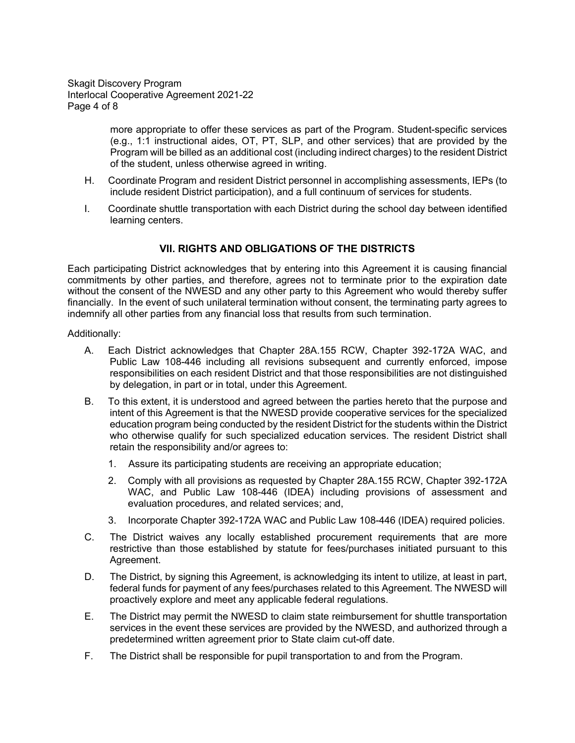Skagit Discovery Program Interlocal Cooperative Agreement 2021-22 Page 4 of 8

> more appropriate to offer these services as part of the Program. Student-specific services (e.g., 1:1 instructional aides, OT, PT, SLP, and other services) that are provided by the Program will be billed as an additional cost (including indirect charges) to the resident District of the student, unless otherwise agreed in writing.

- H. Coordinate Program and resident District personnel in accomplishing assessments, IEPs (to include resident District participation), and a full continuum of services for students.
- I. Coordinate shuttle transportation with each District during the school day between identified learning centers.

# **VII. RIGHTS AND OBLIGATIONS OF THE DISTRICTS**

Each participating District acknowledges that by entering into this Agreement it is causing financial commitments by other parties, and therefore, agrees not to terminate prior to the expiration date without the consent of the NWESD and any other party to this Agreement who would thereby suffer financially. In the event of such unilateral termination without consent, the terminating party agrees to indemnify all other parties from any financial loss that results from such termination.

#### Additionally:

- A. Each District acknowledges that Chapter 28A.155 RCW, Chapter 392-172A WAC, and Public Law 108-446 including all revisions subsequent and currently enforced, impose responsibilities on each resident District and that those responsibilities are not distinguished by delegation, in part or in total, under this Agreement.
- B. To this extent, it is understood and agreed between the parties hereto that the purpose and intent of this Agreement is that the NWESD provide cooperative services for the specialized education program being conducted by the resident District for the students within the District who otherwise qualify for such specialized education services. The resident District shall retain the responsibility and/or agrees to:
	- 1. Assure its participating students are receiving an appropriate education;
	- 2. Comply with all provisions as requested by Chapter 28A.155 RCW, Chapter 392-172A WAC, and Public Law 108-446 (IDEA) including provisions of assessment and evaluation procedures, and related services; and,
	- 3. Incorporate Chapter 392-172A WAC and Public Law 108-446 (IDEA) required policies.
- C. The District waives any locally established procurement requirements that are more restrictive than those established by statute for fees/purchases initiated pursuant to this Agreement.
- D. The District, by signing this Agreement, is acknowledging its intent to utilize, at least in part, federal funds for payment of any fees/purchases related to this Agreement. The NWESD will proactively explore and meet any applicable federal regulations.
- E. The District may permit the NWESD to claim state reimbursement for shuttle transportation services in the event these services are provided by the NWESD, and authorized through a predetermined written agreement prior to State claim cut-off date.
- F. The District shall be responsible for pupil transportation to and from the Program.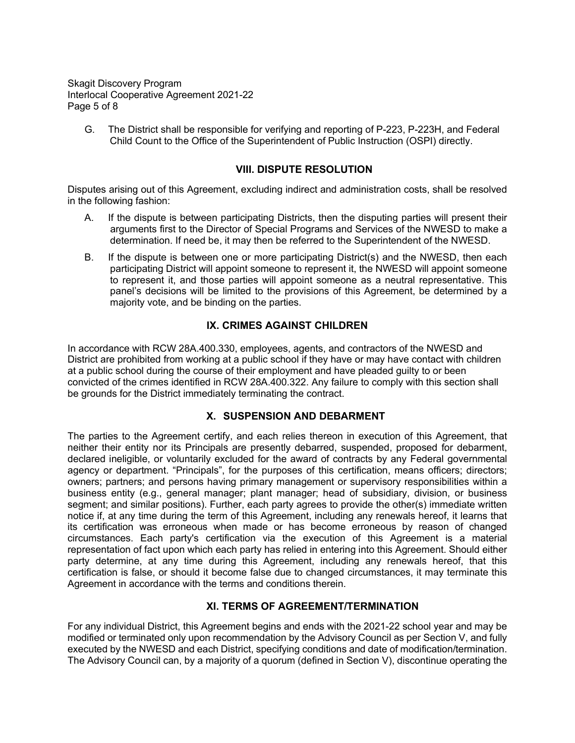Skagit Discovery Program Interlocal Cooperative Agreement 2021-22 Page 5 of 8

G. The District shall be responsible for verifying and reporting of P-223, P-223H, and Federal Child Count to the Office of the Superintendent of Public Instruction (OSPI) directly.

#### **VIII. DISPUTE RESOLUTION**

Disputes arising out of this Agreement, excluding indirect and administration costs, shall be resolved in the following fashion:

- A. If the dispute is between participating Districts, then the disputing parties will present their arguments first to the Director of Special Programs and Services of the NWESD to make a determination. If need be, it may then be referred to the Superintendent of the NWESD.
- B. If the dispute is between one or more participating District(s) and the NWESD, then each participating District will appoint someone to represent it, the NWESD will appoint someone to represent it, and those parties will appoint someone as a neutral representative. This panel's decisions will be limited to the provisions of this Agreement, be determined by a majority vote, and be binding on the parties.

### **IX. CRIMES AGAINST CHILDREN**

In accordance with RCW 28A.400.330, employees, agents, and contractors of the NWESD and District are prohibited from working at a public school if they have or may have contact with children at a public school during the course of their employment and have pleaded guilty to or been convicted of the crimes identified in RCW 28A.400.322. Any failure to comply with this section shall be grounds for the District immediately terminating the contract.

#### **X. SUSPENSION AND DEBARMENT**

The parties to the Agreement certify, and each relies thereon in execution of this Agreement, that neither their entity nor its Principals are presently debarred, suspended, proposed for debarment, declared ineligible, or voluntarily excluded for the award of contracts by any Federal governmental agency or department. "Principals", for the purposes of this certification, means officers; directors; owners; partners; and persons having primary management or supervisory responsibilities within a business entity (e.g., general manager; plant manager; head of subsidiary, division, or business segment; and similar positions). Further, each party agrees to provide the other(s) immediate written notice if, at any time during the term of this Agreement, including any renewals hereof, it learns that its certification was erroneous when made or has become erroneous by reason of changed circumstances. Each party's certification via the execution of this Agreement is a material representation of fact upon which each party has relied in entering into this Agreement. Should either party determine, at any time during this Agreement, including any renewals hereof, that this certification is false, or should it become false due to changed circumstances, it may terminate this Agreement in accordance with the terms and conditions therein.

#### **XI. TERMS OF AGREEMENT/TERMINATION**

For any individual District, this Agreement begins and ends with the 2021-22 school year and may be modified or terminated only upon recommendation by the Advisory Council as per Section V, and fully executed by the NWESD and each District, specifying conditions and date of modification/termination. The Advisory Council can, by a majority of a quorum (defined in Section V), discontinue operating the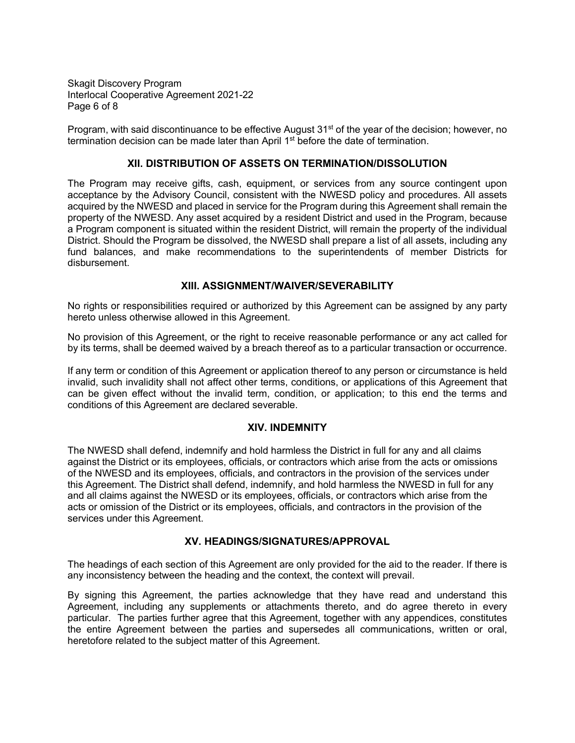Skagit Discovery Program Interlocal Cooperative Agreement 2021-22 Page 6 of 8

Program, with said discontinuance to be effective August 31<sup>st</sup> of the year of the decision; however, no termination decision can be made later than April 1<sup>st</sup> before the date of termination.

#### **XII. DISTRIBUTION OF ASSETS ON TERMINATION/DISSOLUTION**

The Program may receive gifts, cash, equipment, or services from any source contingent upon acceptance by the Advisory Council, consistent with the NWESD policy and procedures. All assets acquired by the NWESD and placed in service for the Program during this Agreement shall remain the property of the NWESD. Any asset acquired by a resident District and used in the Program, because a Program component is situated within the resident District, will remain the property of the individual District. Should the Program be dissolved, the NWESD shall prepare a list of all assets, including any fund balances, and make recommendations to the superintendents of member Districts for disbursement.

### **XIII. ASSIGNMENT/WAIVER/SEVERABILITY**

No rights or responsibilities required or authorized by this Agreement can be assigned by any party hereto unless otherwise allowed in this Agreement.

No provision of this Agreement, or the right to receive reasonable performance or any act called for by its terms, shall be deemed waived by a breach thereof as to a particular transaction or occurrence.

If any term or condition of this Agreement or application thereof to any person or circumstance is held invalid, such invalidity shall not affect other terms, conditions, or applications of this Agreement that can be given effect without the invalid term, condition, or application; to this end the terms and conditions of this Agreement are declared severable.

#### **XIV. INDEMNITY**

The NWESD shall defend, indemnify and hold harmless the District in full for any and all claims against the District or its employees, officials, or contractors which arise from the acts or omissions of the NWESD and its employees, officials, and contractors in the provision of the services under this Agreement. The District shall defend, indemnify, and hold harmless the NWESD in full for any and all claims against the NWESD or its employees, officials, or contractors which arise from the acts or omission of the District or its employees, officials, and contractors in the provision of the services under this Agreement.

### **XV. HEADINGS/SIGNATURES/APPROVAL**

The headings of each section of this Agreement are only provided for the aid to the reader. If there is any inconsistency between the heading and the context, the context will prevail.

By signing this Agreement, the parties acknowledge that they have read and understand this Agreement, including any supplements or attachments thereto, and do agree thereto in every particular. The parties further agree that this Agreement, together with any appendices, constitutes the entire Agreement between the parties and supersedes all communications, written or oral, heretofore related to the subject matter of this Agreement.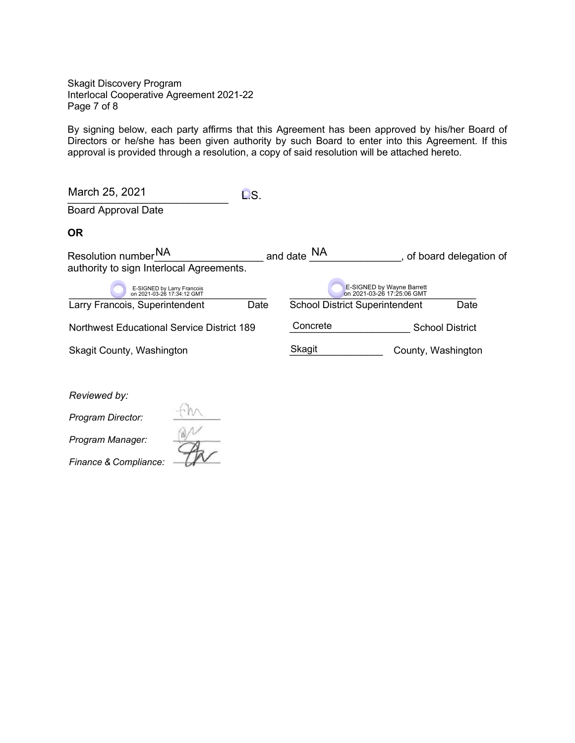Skagit Discovery Program Interlocal Cooperative Agreement 2021-22 Page 7 of 8

By signing below, each party affirms that this Agreement has been approved by his/her Board of Directors or he/she has been given authority by such Board to enter into this Agreement. If this approval is provided through a resolution, a copy of said resolution will be attached hereto.

| March 25, 2021                                                              | DS.  |                                       |                           |                        |
|-----------------------------------------------------------------------------|------|---------------------------------------|---------------------------|------------------------|
| <b>Board Approval Date</b>                                                  |      |                                       |                           |                        |
| <b>OR</b>                                                                   |      |                                       |                           |                        |
| Resolution number <sup>NA</sup><br>authority to sign Interlocal Agreements. |      | and date NA                           |                           | of board delegation of |
| E-SIGNED by Larry Francois<br>on 2021-03-26 17:34:12 GMT                    |      | on 2021-03-26 17:25:06 GMT            | E-SIGNED by Wayne Barrett |                        |
| Larry Francois, Superintendent                                              | Date | <b>School District Superintendent</b> |                           | Date                   |
| <b>Northwest Educational Service District 189</b>                           |      | Concrete                              |                           | <b>School District</b> |
| <b>Skagit County, Washington</b>                                            |      | Skagit                                | County, Washington        |                        |

*Reviewed by:*

*Program Director:*

*Program Manager:*

*Finance & Compliance:* 

 $\frac{4}{\sqrt{2}}$